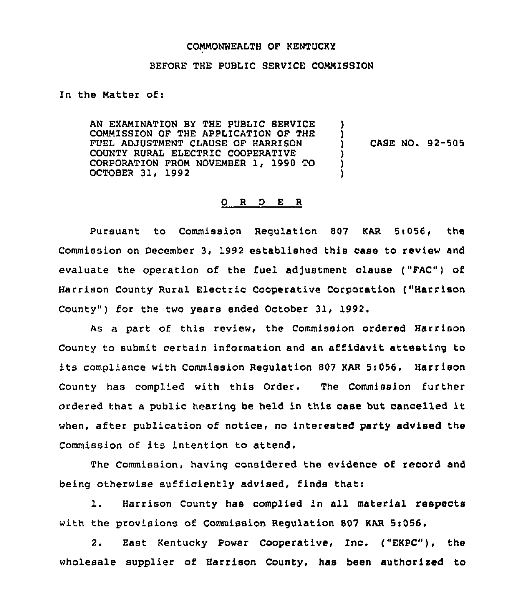#### COMMONWEALTH OF KENTUCKY

## BEFORE THE PUBLIC SERVICE COMMISSION

In the Matter of:

AN EXAMINATION BY THE PUBLIC SERVICE COMMISSION OF THE APPLICATION OF THE FUEL ADJUSTMENT CLAUSE OF HARRISON COUNTY RURAL ELECTRIC COOPERATIVE CORPORATION FROM NOVEMBER 1, 1990 TO OCTOBER 31, 1992 ) ) ) CASE NO. 92-505 ) ) )

#### O R D E R

Pursuant to Commission Requlation 807 KAR 5:056, the Commission on December 3, 1992 established this case to review and evaluate the operation of the fuel adjustment clause ("FAC") of Harrison County Rural Electric Cooperative Corporation ("Harrison County" ) for the two years ended October 31, 1992.

As a part of this review, the Commission ordered Harrison County to submit certain information and an affidavit attesting to its compliance with Commission Regulation <sup>807</sup> KAR 5:056, Harrison County has complied with this Order. The Commission further ordered that <sup>a</sup> public hearing be held in this case but cancelled it when, after publication of notice, no interested party advised the Commission of its intention to attend,

The Commission, having considered the evidence of record and being otherwise sufficiently advised, finds that:

l. Harrison County has complied in all material respects with the provisions of Commission Regulation 807 KAR 5t056.

2. East Kentucky Power cooperative, Inc. ("EKPc"), the wholesale supplier of Harrison County, has been authorized to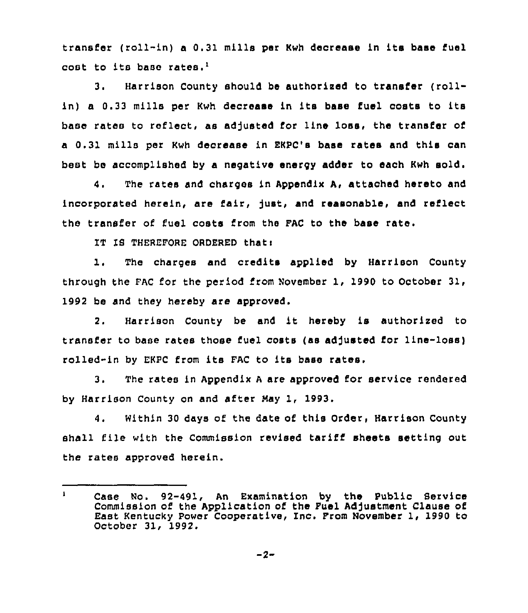transfer (roll-in) a 0.31 mills per Kwh decrease in its base fuel cost to its base rates.'.

Harrison County should be authorized to transfer (roll- $3.$ in) a 0.33 mills per Kwh decrease in its base fuel costs to its base rates to reflect, as adjusted for line loss, the transfer of a 0.31 mills per Kwh decrease in EKPC'e base rates and this can best be accomplished by a negative energy adder to each Kwh sold.

4. The rates and charges in Appendix A, attached hereto and incorporated herein, are fair, just, and reasonable, and reflect the transfer of fuel costs from the FAC to the base rate.

IT IS THEREFORE ORDERED thatt

1. The charges and credits applied by Harrison County through the PAC for the period from November 1, 1990 to October 31, 1992 be and they hereby are approved.

2. Harrison County be and it hereby is authorized to transfer to base rates those fuel costs (as adjusted for line-loss) rolled-in by EKPC from its FAC to its base rates,

3. The rates in Appendix <sup>A</sup> are approved for service rendered by Harrison County on and after May 1, 1993.

4. Within 30 days of the date of this Order, Harrison County shall file with the Commission revised tariff sheets setting out the rates approved herein.

 $\mathbf{1}$ Case No. 92-491, An Examination by the Public Service Commission of the Application of the Fuel Adjustment Clause of East Kentucky Power Cooperative, Inc. From November 1, 1990 to October 31, 1992.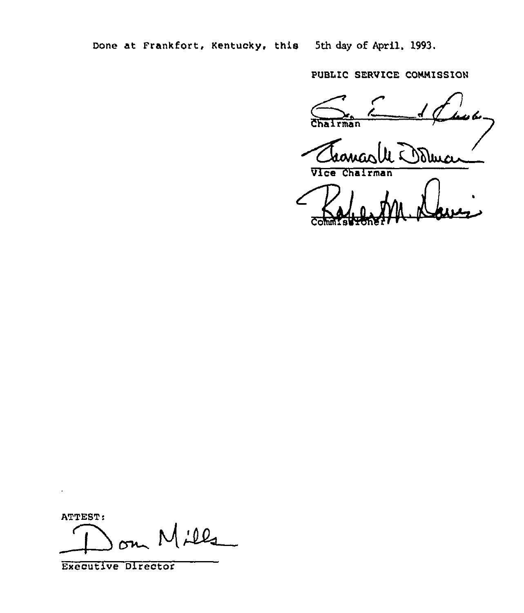Done at Frankfort, Kentucky, this 5th day of April, 1993.

PUBLiC SERVICE COHNISSION

**Sha** 

Domai

Vice Chairman

Commenced ML

ATTEST:

 $\cdot$ 

 $M$ illa

Executive Director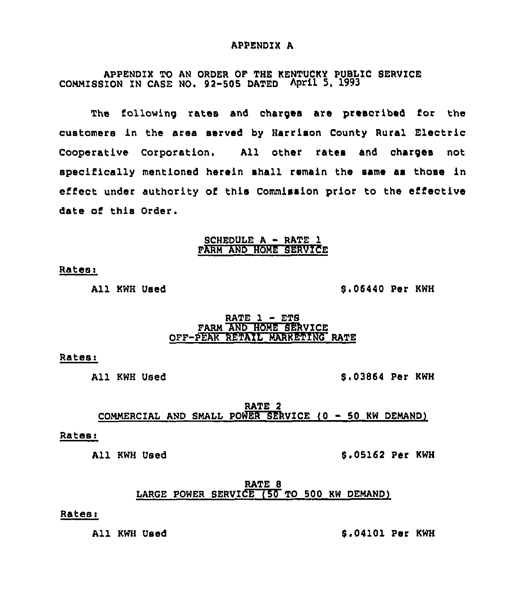#### APPENDIX A

APPENDIX TO AN ORDER OF THE kENTUCKY PUBLIC SERVICE COMMISSION ZN CASE NO. 92-505 DATED April 5, 1993

The following rates and charges are prescribed for the customers in the area served by Harrison County Rural Electric Cooperative Corporation. All other rates and charges not specifically mentioned herein shall remain the same as those in effect under authority of this Commission prior to the effective date of this Order.

#### SCHEDULE A - RATE 1 FARM AND HOME SERVICE

# Rates:

All KWH Used

8.06440 Per KWH

## RATE  $1 - ETS$ FARM AND HOME SERVICE OFF-PEAK RETAIL MARKETING RATE

#### Ratesi

All KWH Used

8.03864 Per KWH

RATE 2 COMMERCIAL AND SMALL POWER SERVICE (0 50 KW DEMAND)

## Ratesi

All KWH Used **8.05162 Per KWH** 

RATE 8 LARGE POWER SERVICE (50 TO 500 KW DEMAND)

# Rates:

All KWH Used S.04101 Per KWH